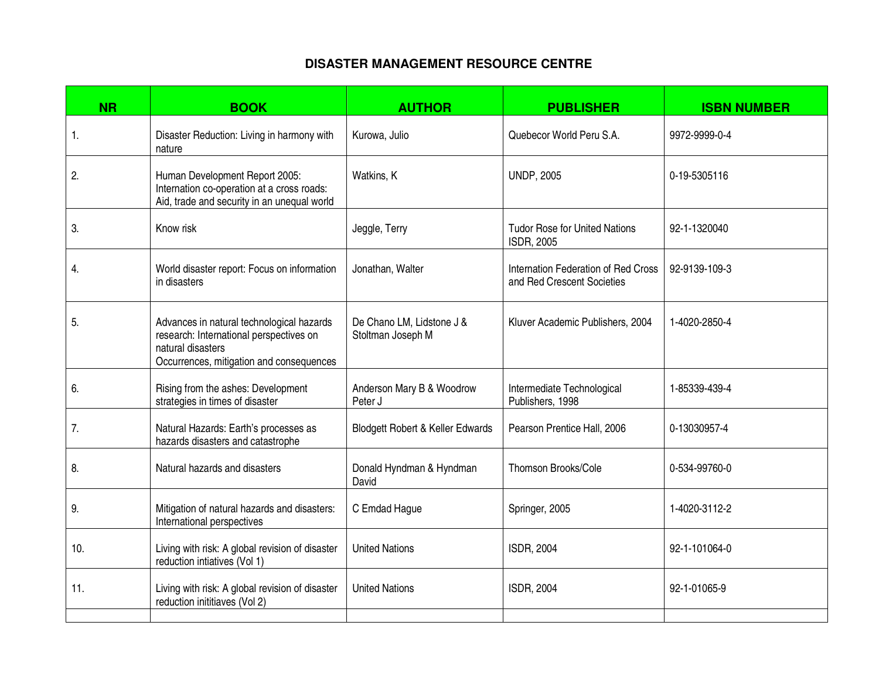## **DISASTER MANAGEMENT RESOURCE CENTRE**

| <b>NR</b> | <b>BOOK</b>                                                                                                                                           | <b>AUTHOR</b>                                  | <b>PUBLISHER</b>                                                  | <b>ISBN NUMBER</b> |
|-----------|-------------------------------------------------------------------------------------------------------------------------------------------------------|------------------------------------------------|-------------------------------------------------------------------|--------------------|
| 1.        | Disaster Reduction: Living in harmony with<br>nature                                                                                                  | Kurowa, Julio                                  | Quebecor World Peru S.A.                                          | 9972-9999-0-4      |
| 2.        | Human Development Report 2005:<br>Internation co-operation at a cross roads:<br>Aid, trade and security in an unequal world                           | Watkins, K                                     | <b>UNDP, 2005</b>                                                 | 0-19-5305116       |
| 3.        | Know risk                                                                                                                                             | Jeggle, Terry                                  | <b>Tudor Rose for United Nations</b><br>ISDR, 2005                | 92-1-1320040       |
| 4.        | World disaster report: Focus on information<br>in disasters                                                                                           | Jonathan, Walter                               | Internation Federation of Red Cross<br>and Red Crescent Societies | 92-9139-109-3      |
| 5.        | Advances in natural technological hazards<br>research: International perspectives on<br>natural disasters<br>Occurrences, mitigation and consequences | De Chano LM, Lidstone J &<br>Stoltman Joseph M | Kluver Academic Publishers, 2004                                  | 1-4020-2850-4      |
| 6.        | Rising from the ashes: Development<br>strategies in times of disaster                                                                                 | Anderson Mary B & Woodrow<br>Peter J           | Intermediate Technological<br>Publishers, 1998                    | 1-85339-439-4      |
| 7.        | Natural Hazards: Earth's processes as<br>hazards disasters and catastrophe                                                                            | Blodgett Robert & Keller Edwards               | Pearson Prentice Hall, 2006                                       | 0-13030957-4       |
| 8.        | Natural hazards and disasters                                                                                                                         | Donald Hyndman & Hyndman<br>David              | Thomson Brooks/Cole                                               | 0-534-99760-0      |
| 9.        | Mitigation of natural hazards and disasters:<br>International perspectives                                                                            | C Emdad Hague                                  | Springer, 2005                                                    | 1-4020-3112-2      |
| 10.       | Living with risk: A global revision of disaster<br>reduction intiatives (Vol 1)                                                                       | <b>United Nations</b>                          | ISDR, 2004                                                        | 92-1-101064-0      |
| 11.       | Living with risk: A global revision of disaster<br>reduction inititiaves (Vol 2)                                                                      | <b>United Nations</b>                          | ISDR, 2004                                                        | 92-1-01065-9       |
|           |                                                                                                                                                       |                                                |                                                                   |                    |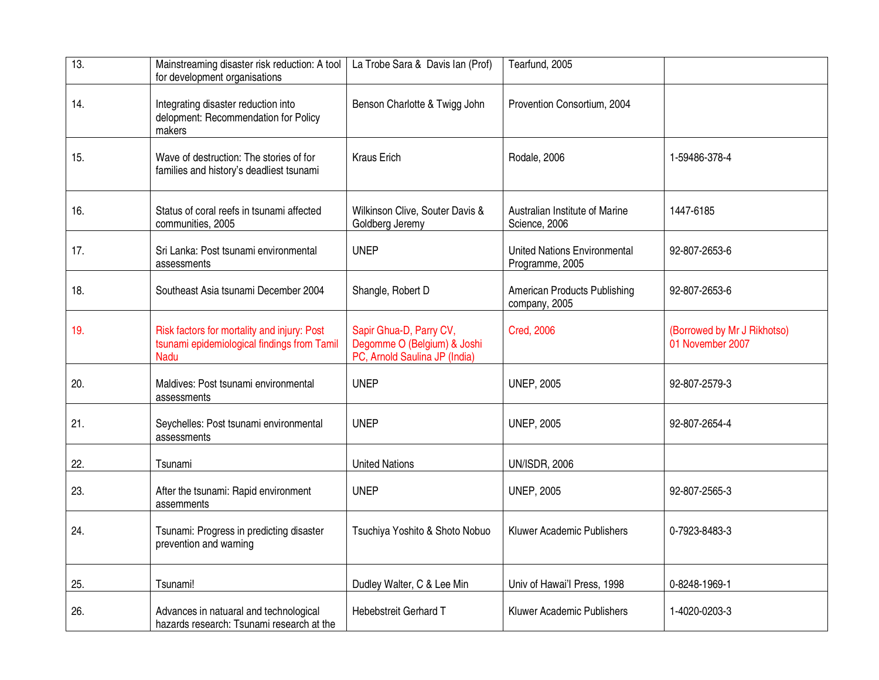| 13. | Mainstreaming disaster risk reduction: A tool<br>for development organisations                            | La Trobe Sara & Davis Ian (Prof)                                                        | Tearfund, 2005                                         |                                                 |
|-----|-----------------------------------------------------------------------------------------------------------|-----------------------------------------------------------------------------------------|--------------------------------------------------------|-------------------------------------------------|
| 14. | Integrating disaster reduction into<br>delopment: Recommendation for Policy<br>makers                     | Benson Charlotte & Twigg John                                                           | Provention Consortium, 2004                            |                                                 |
| 15. | Wave of destruction: The stories of for<br>families and history's deadliest tsunami                       | <b>Kraus Erich</b>                                                                      | Rodale, 2006                                           | 1-59486-378-4                                   |
| 16. | Status of coral reefs in tsunami affected<br>communities, 2005                                            | Wilkinson Clive, Souter Davis &<br>Goldberg Jeremy                                      | Australian Institute of Marine<br>Science, 2006        | 1447-6185                                       |
| 17. | Sri Lanka: Post tsunami environmental<br>assessments                                                      | <b>UNEP</b>                                                                             | <b>United Nations Environmental</b><br>Programme, 2005 | 92-807-2653-6                                   |
| 18. | Southeast Asia tsunami December 2004                                                                      | Shangle, Robert D                                                                       | American Products Publishing<br>company, 2005          | 92-807-2653-6                                   |
| 19. | Risk factors for mortality and injury: Post<br>tsunami epidemiological findings from Tamil<br><b>Nadu</b> | Sapir Ghua-D, Parry CV,<br>Degomme O (Belgium) & Joshi<br>PC, Arnold Saulina JP (India) | <b>Cred, 2006</b>                                      | (Borrowed by Mr J Rikhotso)<br>01 November 2007 |
| 20. | Maldives: Post tsunami environmental<br>assessments                                                       | <b>UNEP</b>                                                                             | <b>UNEP, 2005</b>                                      | 92-807-2579-3                                   |
| 21. | Seychelles: Post tsunami environmental<br>assessments                                                     | <b>UNEP</b>                                                                             | <b>UNEP, 2005</b>                                      | 92-807-2654-4                                   |
| 22. | Tsunami                                                                                                   | <b>United Nations</b>                                                                   | <b>UN/ISDR, 2006</b>                                   |                                                 |
| 23. | After the tsunami: Rapid environment<br>assemments                                                        | <b>UNEP</b>                                                                             | <b>UNEP, 2005</b>                                      | 92-807-2565-3                                   |
| 24. | Tsunami: Progress in predicting disaster<br>prevention and warning                                        | Tsuchiya Yoshito & Shoto Nobuo                                                          | Kluwer Academic Publishers                             | 0-7923-8483-3                                   |
| 25. | Tsunami!                                                                                                  | Dudley Walter, C & Lee Min                                                              | Univ of Hawai'l Press, 1998                            | 0-8248-1969-1                                   |
| 26. | Advances in natuaral and technological<br>hazards research: Tsunami research at the                       | Hebebstreit Gerhard T                                                                   | Kluwer Academic Publishers                             | 1-4020-0203-3                                   |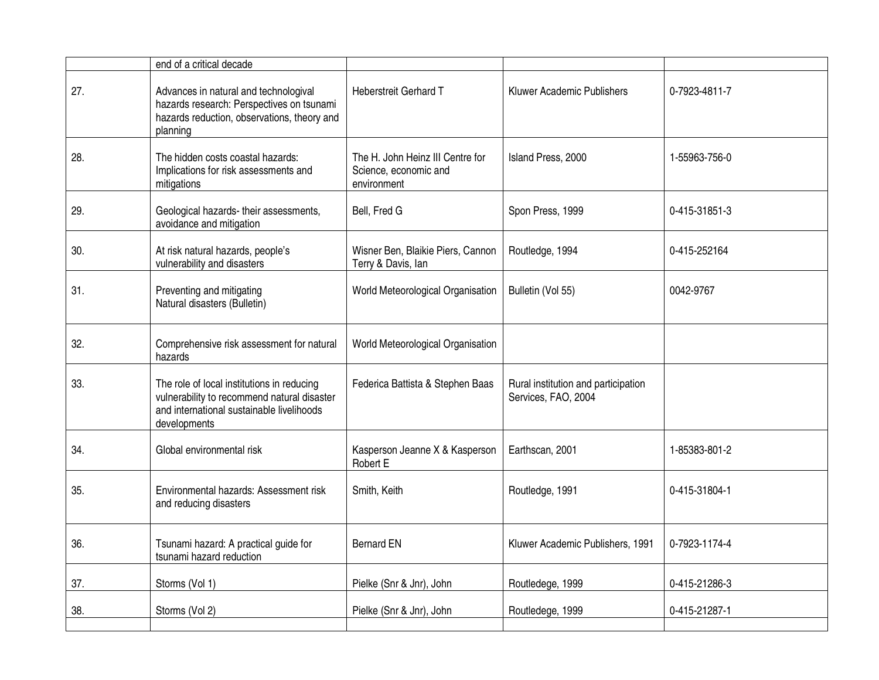|     | end of a critical decade                                                                                                                               |                                                                          |                                                            |               |
|-----|--------------------------------------------------------------------------------------------------------------------------------------------------------|--------------------------------------------------------------------------|------------------------------------------------------------|---------------|
| 27. | Advances in natural and technologival<br>hazards research: Perspectives on tsunami<br>hazards reduction, observations, theory and<br>planning          | <b>Heberstreit Gerhard T</b>                                             | Kluwer Academic Publishers                                 | 0-7923-4811-7 |
| 28. | The hidden costs coastal hazards:<br>Implications for risk assessments and<br>mitigations                                                              | The H. John Heinz III Centre for<br>Science, economic and<br>environment | Island Press, 2000                                         | 1-55963-756-0 |
| 29. | Geological hazards- their assessments,<br>avoidance and mitigation                                                                                     | Bell, Fred G                                                             | Spon Press, 1999                                           | 0-415-31851-3 |
| 30. | At risk natural hazards, people's<br>vulnerability and disasters                                                                                       | Wisner Ben, Blaikie Piers, Cannon<br>Terry & Davis, Ian                  | Routledge, 1994                                            | 0-415-252164  |
| 31. | Preventing and mitigating<br>Natural disasters (Bulletin)                                                                                              | World Meteorological Organisation                                        | Bulletin (Vol 55)                                          | 0042-9767     |
| 32. | Comprehensive risk assessment for natural<br>hazards                                                                                                   | World Meteorological Organisation                                        |                                                            |               |
| 33. | The role of local institutions in reducing<br>vulnerability to recommend natural disaster<br>and international sustainable livelihoods<br>developments | Federica Battista & Stephen Baas                                         | Rural institution and participation<br>Services, FAO, 2004 |               |
| 34. | Global environmental risk                                                                                                                              | Kasperson Jeanne X & Kasperson<br>Robert E                               | Earthscan, 2001                                            | 1-85383-801-2 |
| 35. | Environmental hazards: Assessment risk<br>and reducing disasters                                                                                       | Smith, Keith                                                             | Routledge, 1991                                            | 0-415-31804-1 |
| 36. | Tsunami hazard: A practical guide for<br>tsunami hazard reduction                                                                                      | <b>Bernard EN</b>                                                        | Kluwer Academic Publishers, 1991                           | 0-7923-1174-4 |
| 37. | Storms (Vol 1)                                                                                                                                         | Pielke (Snr & Jnr), John                                                 | Routledege, 1999                                           | 0-415-21286-3 |
| 38. | Storms (Vol 2)                                                                                                                                         | Pielke (Snr & Jnr), John                                                 | Routledege, 1999                                           | 0-415-21287-1 |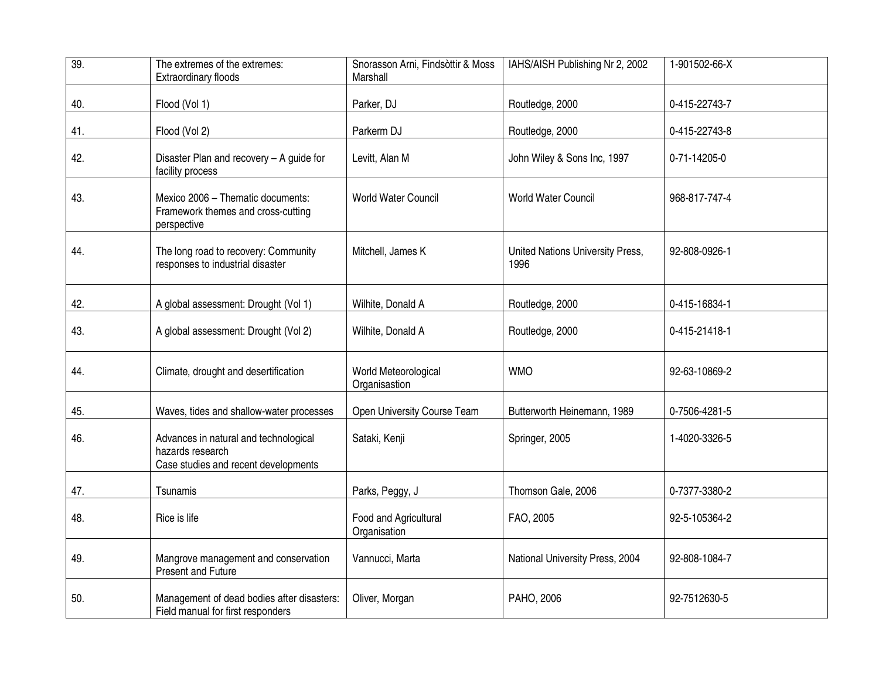| 39. | The extremes of the extremes:<br><b>Extraordinary floods</b>                                      | Snorasson Arni, Findsòttir & Moss<br>Marshall | IAHS/AISH Publishing Nr 2, 2002          | 1-901502-66-X |
|-----|---------------------------------------------------------------------------------------------------|-----------------------------------------------|------------------------------------------|---------------|
| 40. | Flood (Vol 1)                                                                                     | Parker, DJ                                    | Routledge, 2000                          | 0-415-22743-7 |
| 41. | Flood (Vol 2)                                                                                     | Parkerm DJ                                    | Routledge, 2000                          | 0-415-22743-8 |
| 42. | Disaster Plan and recovery - A guide for<br>facility process                                      | Levitt, Alan M                                | John Wiley & Sons Inc, 1997              | 0-71-14205-0  |
| 43. | Mexico 2006 - Thematic documents:<br>Framework themes and cross-cutting<br>perspective            | <b>World Water Council</b>                    | <b>World Water Council</b>               | 968-817-747-4 |
| 44. | The long road to recovery: Community<br>responses to industrial disaster                          | Mitchell, James K                             | United Nations University Press,<br>1996 | 92-808-0926-1 |
| 42. | A global assessment: Drought (Vol 1)                                                              | Wilhite, Donald A                             | Routledge, 2000                          | 0-415-16834-1 |
| 43. | A global assessment: Drought (Vol 2)                                                              | Wilhite, Donald A                             | Routledge, 2000                          | 0-415-21418-1 |
| 44. | Climate, drought and desertification                                                              | World Meteorological<br>Organisastion         | <b>WMO</b>                               | 92-63-10869-2 |
| 45. | Waves, tides and shallow-water processes                                                          | Open University Course Team                   | Butterworth Heinemann, 1989              | 0-7506-4281-5 |
| 46. | Advances in natural and technological<br>hazards research<br>Case studies and recent developments | Sataki, Kenji                                 | Springer, 2005                           | 1-4020-3326-5 |
| 47. | Tsunamis                                                                                          | Parks, Peggy, J                               | Thomson Gale, 2006                       | 0-7377-3380-2 |
| 48. | Rice is life                                                                                      | Food and Agricultural<br>Organisation         | FAO, 2005                                | 92-5-105364-2 |
| 49. | Mangrove management and conservation<br>Present and Future                                        | Vannucci, Marta                               | National University Press, 2004          | 92-808-1084-7 |
| 50. | Management of dead bodies after disasters:<br>Field manual for first responders                   | Oliver, Morgan                                | PAHO, 2006                               | 92-7512630-5  |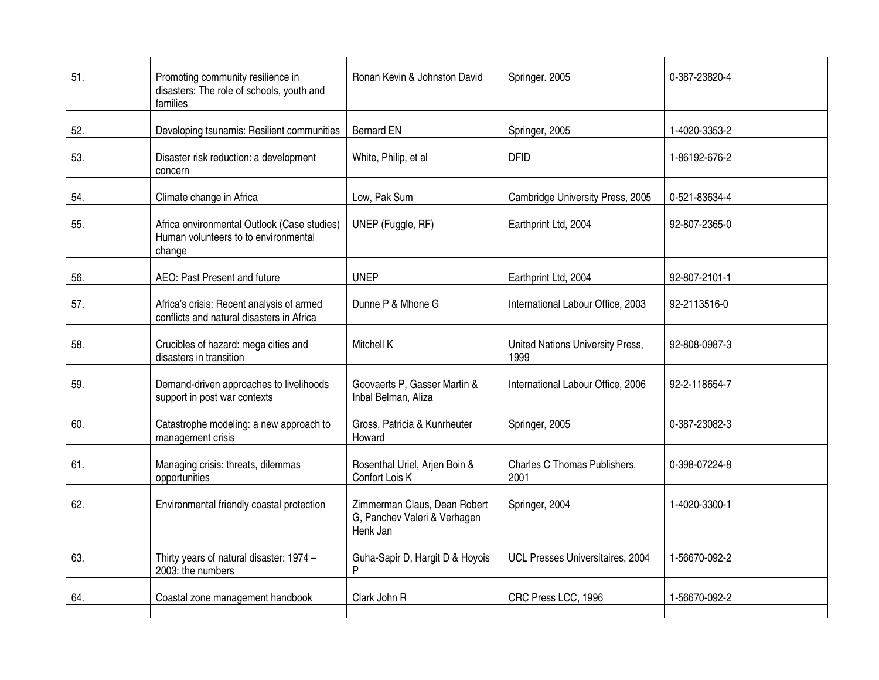| 51. | Promoting community resilience in<br>disasters: The role of schools, youth and<br>families    | Ronan Kevin & Johnston David                                             | Springer. 2005                           | 0-387-23820-4 |
|-----|-----------------------------------------------------------------------------------------------|--------------------------------------------------------------------------|------------------------------------------|---------------|
| 52. | Developing tsunamis: Resilient communities                                                    | <b>Bernard EN</b>                                                        | Springer, 2005                           | 1-4020-3353-2 |
| 53. | Disaster risk reduction: a development<br>concern                                             | White, Philip, et al                                                     | <b>DFID</b>                              | 1-86192-676-2 |
| 54. | Climate change in Africa                                                                      | Low, Pak Sum                                                             | Cambridge University Press, 2005         | 0-521-83634-4 |
| 55. | Africa environmental Outlook (Case studies)<br>Human volunteers to to environmental<br>change | UNEP (Fuggle, RF)                                                        | Earthprint Ltd, 2004                     | 92-807-2365-0 |
| 56. | AEO: Past Present and future                                                                  | <b>UNEP</b>                                                              | Earthprint Ltd, 2004                     | 92-807-2101-1 |
| 57. | Africa's crisis: Recent analysis of armed<br>conflicts and natural disasters in Africa        | Dunne P & Mhone G                                                        | International Labour Office, 2003        | 92-2113516-0  |
| 58. | Crucibles of hazard: mega cities and<br>disasters in transition                               | Mitchell K                                                               | United Nations University Press,<br>1999 | 92-808-0987-3 |
| 59. | Demand-driven approaches to livelihoods<br>support in post war contexts                       | Goovaerts P, Gasser Martin &<br>Inbal Belman, Aliza                      | International Labour Office, 2006        | 92-2-118654-7 |
| 60. | Catastrophe modeling: a new approach to<br>management crisis                                  | Gross, Patricia & Kunrheuter<br>Howard                                   | Springer, 2005                           | 0-387-23082-3 |
| 61. | Managing crisis: threats, dilemmas<br>opportunities                                           | Rosenthal Uriel, Arjen Boin &<br>Confort Lois K                          | Charles C Thomas Publishers,<br>2001     | 0-398-07224-8 |
| 62. | Environmental friendly coastal protection                                                     | Zimmerman Claus, Dean Robert<br>G, Panchev Valeri & Verhagen<br>Henk Jan | Springer, 2004                           | 1-4020-3300-1 |
| 63. | Thirty years of natural disaster: 1974 -<br>2003: the numbers                                 | Guha-Sapir D, Hargit D & Hoyois<br>P                                     | UCL Presses Universitaires, 2004         | 1-56670-092-2 |
| 64. | Coastal zone management handbook                                                              | Clark John R                                                             | CRC Press LCC, 1996                      | 1-56670-092-2 |